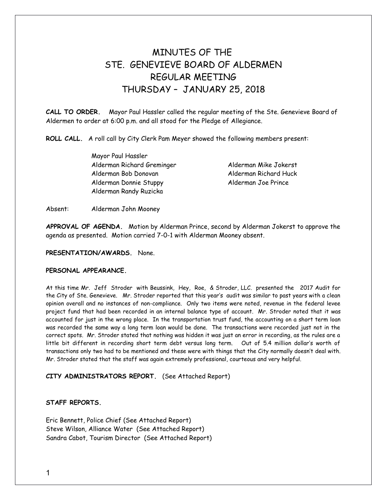# MINUTES OF THE STE. GENEVIEVE BOARD OF ALDERMEN REGULAR MEETING THURSDAY – JANUARY 25, 2018

**CALL TO ORDER.** Mayor Paul Hassler called the regular meeting of the Ste. Genevieve Board of Aldermen to order at 6:00 p.m. and all stood for the Pledge of Allegiance.

**ROLL CALL.** A roll call by City Clerk Pam Meyer showed the following members present:

Mayor Paul Hassler Alderman Richard Greminger Alderman Mike Jokerst Alderman Bob Donovan Alderman Richard Huck Alderman Donnie Stuppy Alderman Joe Prince Alderman Randy Ruzicka

Absent: Alderman John Mooney

**APPROVAL OF AGENDA.** Motion by Alderman Prince, second by Alderman Jokerst to approve the agenda as presented. Motion carried 7-0-1 with Alderman Mooney absent.

## **PRESENTATION/AWARDS.** None.

# **PERSONAL APPEARANCE.**

At this time Mr. Jeff Stroder with Beussink, Hey, Roe, & Stroder, LLC. presented the 2017 Audit for the City of Ste. Genevieve. Mr. Stroder reported that this year's audit was similar to past years with a clean opinion overall and no instances of non-compliance. Only two items were noted, revenue in the federal levee project fund that had been recorded in an internal balance type of account. Mr. Stroder noted that it was accounted for just in the wrong place. In the transportation trust fund, the accounting on a short term loan was recorded the same way a long term loan would be done. The transactions were recorded just not in the correct spots. Mr. Stroder stated that nothing was hidden it was just an error in recording, as the rules are a little bit different in recording short term debt versus long term. Out of 5.4 million dollar's worth of transactions only two had to be mentioned and these were with things that the City normally doesn't deal with. Mr. Stroder stated that the staff was again extremely professional, courteous and very helpful.

## **CITY ADMINISTRATORS REPORT.** (See Attached Report)

# **STAFF REPORTS.**

Eric Bennett, Police Chief (See Attached Report) Steve Wilson, Alliance Water (See Attached Report) Sandra Cabot, Tourism Director (See Attached Report)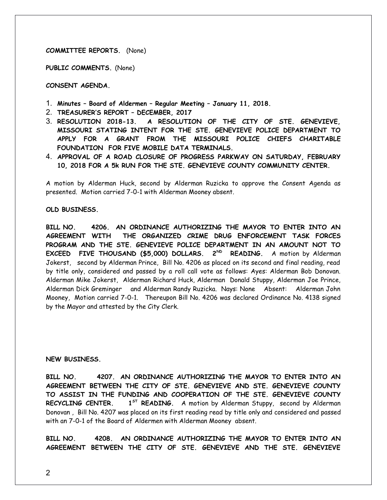## **COMMITTEE REPORTS.** (None)

**PUBLIC COMMENTS.** (None)

**CONSENT AGENDA.** 

- 1. **Minutes Board of Aldermen Regular Meeting January 11, 2018.**
- 2. **TREASURER'S REPORT DECEMBER, 2017**
- 3. **RESOLUTION 2018-13. A RESOLUTION OF THE CITY OF STE. GENEVIEVE, MISSOURI STATING INTENT FOR THE STE. GENEVIEVE POLICE DEPARTMENT TO APPLY FOR A GRANT FROM THE MISSOURI POLICE CHIEFS CHARITABLE FOUNDATION FOR FIVE MOBILE DATA TERMINALS.**
- 4. **APPROVAL OF A ROAD CLOSURE OF PROGRESS PARKWAY ON SATURDAY, FEBRUARY 10, 2018 FOR A 5k RUN FOR THE STE. GENEVIEVE COUNTY COMMUNITY CENTER.**

A motion by Alderman Huck, second by Alderman Ruzicka to approve the Consent Agenda as presented. Motion carried 7-0-1 with Alderman Mooney absent.

#### **OLD BUSINESS.**

**BILL NO. 4206. AN ORDINANCE AUTHORIZING THE MAYOR TO ENTER INTO AN AGREEMENT WITH THE ORGANIZED CRIME DRUG ENFORCEMENT TASK FORCES PROGRAM AND THE STE. GENEVIEVE POLICE DEPARTMENT IN AN AMOUNT NOT TO EXCEED FIVE THOUSAND (\$5,000) DOLLARS. 2ND READING.** A motion by Alderman Jokerst, second by Alderman Prince, Bill No. 4206 as placed on its second and final reading, read by title only, considered and passed by a roll call vote as follows: Ayes: Alderman Bob Donovan. Alderman Mike Jokerst, Alderman Richard Huck, Alderman Donald Stuppy, Alderman Joe Prince, Alderman Dick Greminger and Alderman Randy Ruzicka. Nays: None Absent: Alderman John Mooney, Motion carried 7-0-1. Thereupon Bill No. 4206 was declared Ordinance No. 4138 signed by the Mayor and attested by the City Clerk.

#### **NEW BUSINESS.**

**BILL NO. 4207. AN ORDINANCE AUTHORIZING THE MAYOR TO ENTER INTO AN AGREEMENT BETWEEN THE CITY OF STE. GENEVIEVE AND STE. GENEVIEVE COUNTY TO ASSIST IN THE FUNDING AND COOPERATION OF THE STE. GENEVIEVE COUNTY RECYCLING CENTER. 1ST READING.** A motion by Alderman Stuppy, second by Alderman Donovan , Bill No. 4207 was placed on its first reading read by title only and considered and passed with an 7-0-1 of the Board of Aldermen with Alderman Mooney absent.

**BILL NO. 4208. AN ORDINANCE AUTHORIZING THE MAYOR TO ENTER INTO AN AGREEMENT BETWEEN THE CITY OF STE. GENEVIEVE AND THE STE. GENEVIEVE**